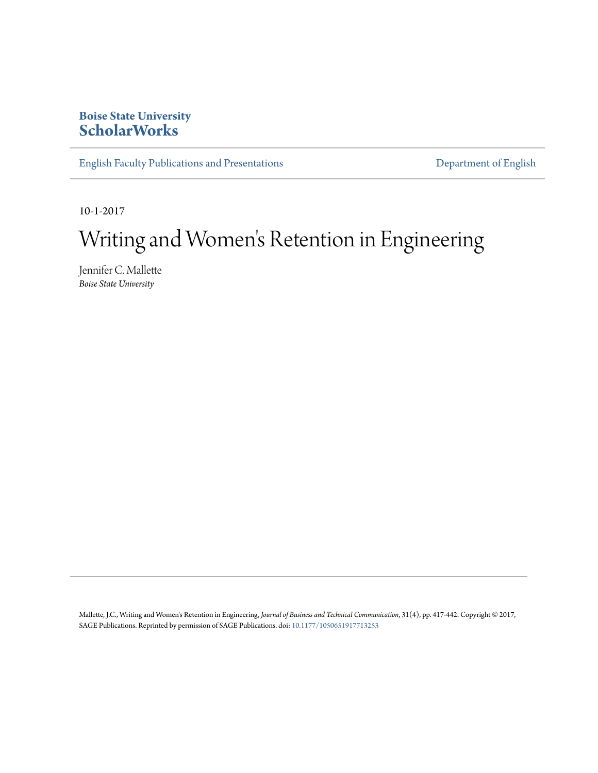### **Boise State University [ScholarWorks](https://scholarworks.boisestate.edu)**

[English Faculty Publications and Presentations](https://scholarworks.boisestate.edu/english_facpubs) **English English** [Department of English](https://scholarworks.boisestate.edu/english)

10-1-2017

# Writing and Women 's Retention in Engineering

Jennifer C. Mallette *Boise State University*

Mallette, J.C., Writing and Women's Retention in Engineering, *Journal of Business and Technical Communication*, 31(4), pp. 417-442. Copyright © 2017, SAGE Publications. Reprinted by permission of SAGE Publications. doi: [10.1177/1050651917713253](http://dx.doi.org/10.1177/1050651917713253)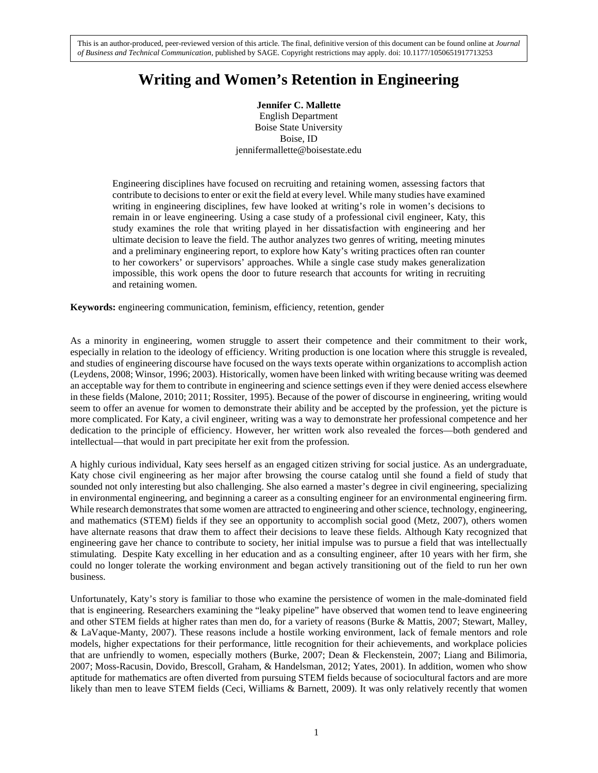## **Writing and Women's Retention in Engineering**

**Jennifer C. Mallette** English Department Boise State University Boise, ID jennifermallette@boisestate.edu

Engineering disciplines have focused on recruiting and retaining women, assessing factors that contribute to decisions to enter or exit the field at every level. While many studies have examined writing in engineering disciplines, few have looked at writing's role in women's decisions to remain in or leave engineering. Using a case study of a professional civil engineer, Katy, this study examines the role that writing played in her dissatisfaction with engineering and her ultimate decision to leave the field. The author analyzes two genres of writing, meeting minutes and a preliminary engineering report, to explore how Katy's writing practices often ran counter to her coworkers' or supervisors' approaches. While a single case study makes generalization impossible, this work opens the door to future research that accounts for writing in recruiting and retaining women.

**Keywords:** engineering communication, feminism, efficiency, retention, gender

As a minority in engineering, women struggle to assert their competence and their commitment to their work, especially in relation to the ideology of efficiency. Writing production is one location where this struggle is revealed, and studies of engineering discourse have focused on the ways texts operate within organizations to accomplish action (Leydens, 2008; Winsor, 1996; 2003). Historically, women have been linked with writing because writing was deemed an acceptable way for them to contribute in engineering and science settings even if they were denied access elsewhere in these fields (Malone, 2010; 2011; Rossiter, 1995). Because of the power of discourse in engineering, writing would seem to offer an avenue for women to demonstrate their ability and be accepted by the profession, yet the picture is more complicated. For Katy, a civil engineer, writing was a way to demonstrate her professional competence and her dedication to the principle of efficiency. However, her written work also revealed the forces—both gendered and intellectual—that would in part precipitate her exit from the profession.

A highly curious individual, Katy sees herself as an engaged citizen striving for social justice. As an undergraduate, Katy chose civil engineering as her major after browsing the course catalog until she found a field of study that sounded not only interesting but also challenging. She also earned a master's degree in civil engineering, specializing in environmental engineering, and beginning a career as a consulting engineer for an environmental engineering firm. While research demonstrates that some women are attracted to engineering and other science, technology, engineering, and mathematics (STEM) fields if they see an opportunity to accomplish social good (Metz, 2007), others women have alternate reasons that draw them to affect their decisions to leave these fields. Although Katy recognized that engineering gave her chance to contribute to society, her initial impulse was to pursue a field that was intellectually stimulating. Despite Katy excelling in her education and as a consulting engineer, after 10 years with her firm, she could no longer tolerate the working environment and began actively transitioning out of the field to run her own business.

Unfortunately, Katy's story is familiar to those who examine the persistence of women in the male-dominated field that is engineering. Researchers examining the "leaky pipeline" have observed that women tend to leave engineering and other STEM fields at higher rates than men do, for a variety of reasons (Burke & Mattis, 2007; Stewart, Malley, & LaVaque-Manty, 2007). These reasons include a hostile working environment, lack of female mentors and role models, higher expectations for their performance, little recognition for their achievements, and workplace policies that are unfriendly to women, especially mothers (Burke, 2007; Dean & Fleckenstein, 2007; Liang and Bilimoria, 2007; Moss-Racusin, Dovido, Brescoll, Graham, & Handelsman, 2012; Yates, 2001). In addition, women who show aptitude for mathematics are often diverted from pursuing STEM fields because of sociocultural factors and are more likely than men to leave STEM fields (Ceci, Williams & Barnett, 2009). It was only relatively recently that women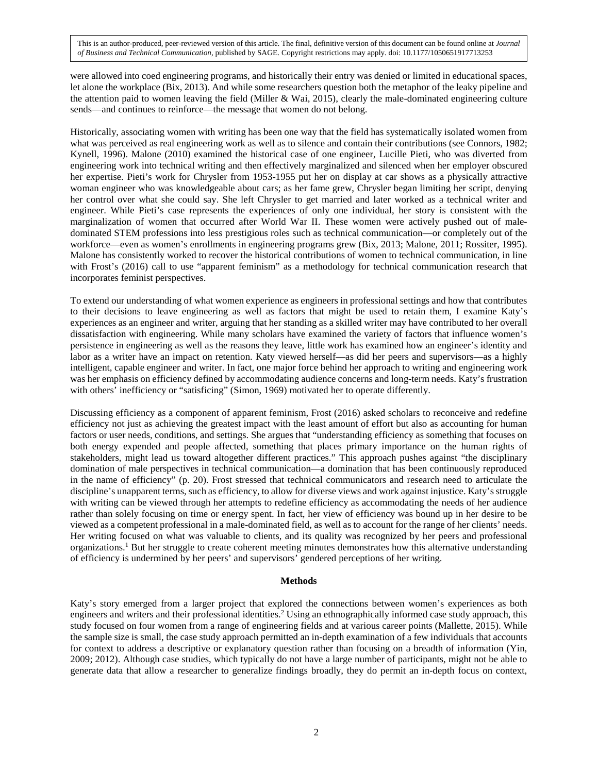were allowed into coed engineering programs, and historically their entry was denied or limited in educational spaces, let alone the workplace (Bix, 2013). And while some researchers question both the metaphor of the leaky pipeline and the attention paid to women leaving the field (Miller & Wai, 2015), clearly the male-dominated engineering culture sends—and continues to reinforce—the message that women do not belong.

Historically, associating women with writing has been one way that the field has systematically isolated women from what was perceived as real engineering work as well as to silence and contain their contributions (see Connors, 1982; Kynell, 1996). Malone (2010) examined the historical case of one engineer, Lucille Pieti, who was diverted from engineering work into technical writing and then effectively marginalized and silenced when her employer obscured her expertise. Pieti's work for Chrysler from 1953-1955 put her on display at car shows as a physically attractive woman engineer who was knowledgeable about cars; as her fame grew, Chrysler began limiting her script, denying her control over what she could say. She left Chrysler to get married and later worked as a technical writer and engineer. While Pieti's case represents the experiences of only one individual, her story is consistent with the marginalization of women that occurred after World War II. These women were actively pushed out of maledominated STEM professions into less prestigious roles such as technical communication—or completely out of the workforce—even as women's enrollments in engineering programs grew (Bix, 2013; Malone, 2011; Rossiter, 1995). Malone has consistently worked to recover the historical contributions of women to technical communication, in line with Frost's (2016) call to use "apparent feminism" as a methodology for technical communication research that incorporates feminist perspectives.

To extend our understanding of what women experience as engineers in professional settings and how that contributes to their decisions to leave engineering as well as factors that might be used to retain them, I examine Katy's experiences as an engineer and writer, arguing that her standing as a skilled writer may have contributed to her overall dissatisfaction with engineering. While many scholars have examined the variety of factors that influence women's persistence in engineering as well as the reasons they leave, little work has examined how an engineer's identity and labor as a writer have an impact on retention. Katy viewed herself—as did her peers and supervisors—as a highly intelligent, capable engineer and writer. In fact, one major force behind her approach to writing and engineering work was her emphasis on efficiency defined by accommodating audience concerns and long-term needs. Katy's frustration with others' inefficiency or "satisficing" (Simon, 1969) motivated her to operate differently.

Discussing efficiency as a component of apparent feminism, Frost (2016) asked scholars to reconceive and redefine efficiency not just as achieving the greatest impact with the least amount of effort but also as accounting for human factors or user needs, conditions, and settings. She argues that "understanding efficiency as something that focuses on both energy expended and people affected, something that places primary importance on the human rights of stakeholders, might lead us toward altogether different practices." This approach pushes against "the disciplinary domination of male perspectives in technical communication—a domination that has been continuously reproduced in the name of efficiency" (p. 20). Frost stressed that technical communicators and research need to articulate the discipline's unapparent terms, such as efficiency, to allow for diverse views and work against injustice. Katy's struggle with writing can be viewed through her attempts to redefine efficiency as accommodating the needs of her audience rather than solely focusing on time or energy spent. In fact, her view of efficiency was bound up in her desire to be viewed as a competent professional in a male-dominated field, as well as to account for the range of her clients' needs. Her writing focused on what was valuable to clients, and its quality was recognized by her peers and professional organizations.1 But her struggle to create coherent meeting minutes demonstrates how this alternative understanding of efficiency is undermined by her peers' and supervisors' gendered perceptions of her writing.

#### **Methods**

Katy's story emerged from a larger project that explored the connections between women's experiences as both engineers and writers and their professional identities.<sup>2</sup> Using an ethnographically informed case study approach, this study focused on four women from a range of engineering fields and at various career points (Mallette, 2015). While the sample size is small, the case study approach permitted an in-depth examination of a few individuals that accounts for context to address a descriptive or explanatory question rather than focusing on a breadth of information (Yin, 2009; 2012). Although case studies, which typically do not have a large number of participants, might not be able to generate data that allow a researcher to generalize findings broadly, they do permit an in-depth focus on context,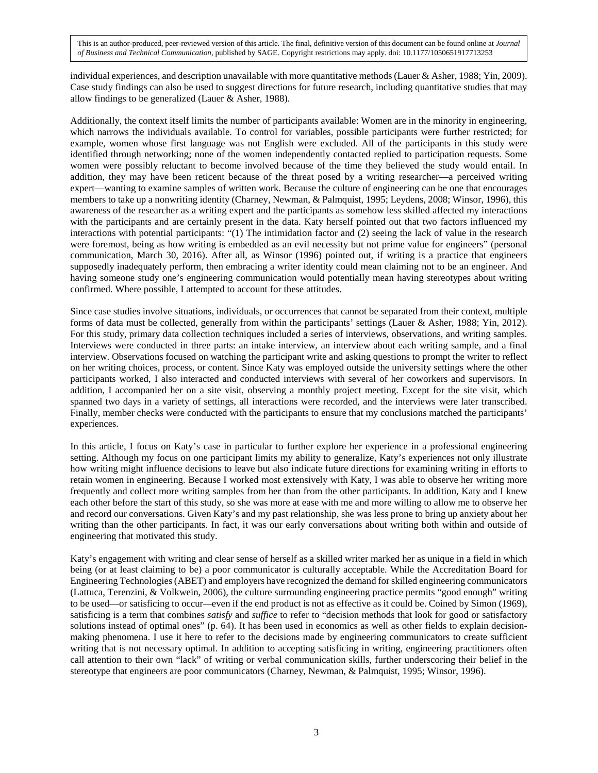individual experiences, and description unavailable with more quantitative methods (Lauer & Asher, 1988; Yin, 2009). Case study findings can also be used to suggest directions for future research, including quantitative studies that may allow findings to be generalized (Lauer & Asher, 1988).

Additionally, the context itself limits the number of participants available: Women are in the minority in engineering, which narrows the individuals available. To control for variables, possible participants were further restricted; for example, women whose first language was not English were excluded. All of the participants in this study were identified through networking; none of the women independently contacted replied to participation requests. Some women were possibly reluctant to become involved because of the time they believed the study would entail. In addition, they may have been reticent because of the threat posed by a writing researcher—a perceived writing expert—wanting to examine samples of written work. Because the culture of engineering can be one that encourages members to take up a nonwriting identity (Charney, Newman, & Palmquist, 1995; Leydens, 2008; Winsor, 1996), this awareness of the researcher as a writing expert and the participants as somehow less skilled affected my interactions with the participants and are certainly present in the data. Katy herself pointed out that two factors influenced my interactions with potential participants: "(1) The intimidation factor and (2) seeing the lack of value in the research were foremost, being as how writing is embedded as an evil necessity but not prime value for engineers" (personal communication, March 30, 2016). After all, as Winsor (1996) pointed out, if writing is a practice that engineers supposedly inadequately perform, then embracing a writer identity could mean claiming not to be an engineer. And having someone study one's engineering communication would potentially mean having stereotypes about writing confirmed. Where possible, I attempted to account for these attitudes.

Since case studies involve situations, individuals, or occurrences that cannot be separated from their context, multiple forms of data must be collected, generally from within the participants' settings (Lauer & Asher, 1988; Yin, 2012). For this study, primary data collection techniques included a series of interviews, observations, and writing samples. Interviews were conducted in three parts: an intake interview, an interview about each writing sample, and a final interview. Observations focused on watching the participant write and asking questions to prompt the writer to reflect on her writing choices, process, or content. Since Katy was employed outside the university settings where the other participants worked, I also interacted and conducted interviews with several of her coworkers and supervisors. In addition, I accompanied her on a site visit, observing a monthly project meeting. Except for the site visit, which spanned two days in a variety of settings, all interactions were recorded, and the interviews were later transcribed. Finally, member checks were conducted with the participants to ensure that my conclusions matched the participants' experiences.

In this article, I focus on Katy's case in particular to further explore her experience in a professional engineering setting. Although my focus on one participant limits my ability to generalize, Katy's experiences not only illustrate how writing might influence decisions to leave but also indicate future directions for examining writing in efforts to retain women in engineering. Because I worked most extensively with Katy, I was able to observe her writing more frequently and collect more writing samples from her than from the other participants. In addition, Katy and I knew each other before the start of this study, so she was more at ease with me and more willing to allow me to observe her and record our conversations. Given Katy's and my past relationship, she was less prone to bring up anxiety about her writing than the other participants. In fact, it was our early conversations about writing both within and outside of engineering that motivated this study.

Katy's engagement with writing and clear sense of herself as a skilled writer marked her as unique in a field in which being (or at least claiming to be) a poor communicator is culturally acceptable. While the Accreditation Board for Engineering Technologies (ABET) and employers have recognized the demand for skilled engineering communicators (Lattuca, Terenzini, & Volkwein, 2006), the culture surrounding engineering practice permits "good enough" writing to be used—or satisficing to occur*—*even if the end product is not as effective as it could be. Coined by Simon (1969), satisficing is a term that combines *satisfy* and *suffice* to refer to "decision methods that look for good or satisfactory solutions instead of optimal ones" (p. 64). It has been used in economics as well as other fields to explain decisionmaking phenomena. I use it here to refer to the decisions made by engineering communicators to create sufficient writing that is not necessary optimal. In addition to accepting satisficing in writing, engineering practitioners often call attention to their own "lack" of writing or verbal communication skills, further underscoring their belief in the stereotype that engineers are poor communicators (Charney, Newman, & Palmquist, 1995; Winsor, 1996).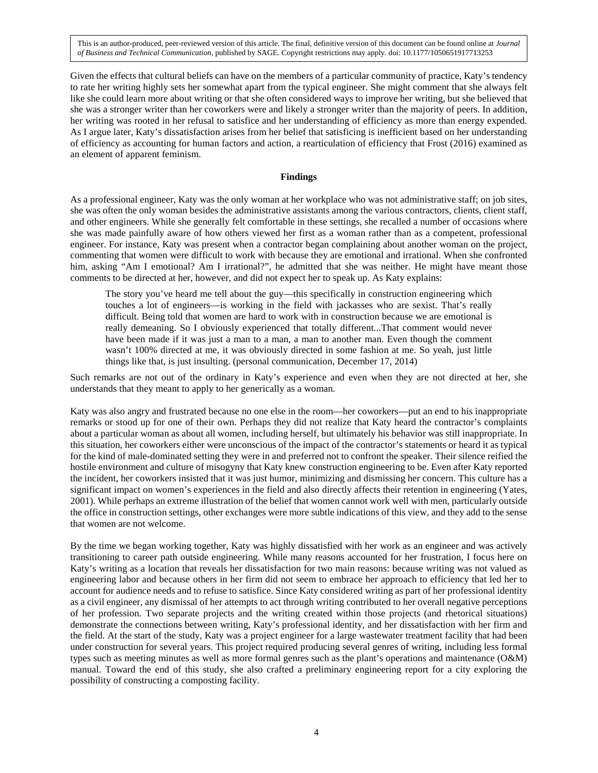Given the effects that cultural beliefs can have on the members of a particular community of practice, Katy's tendency to rate her writing highly sets her somewhat apart from the typical engineer. She might comment that she always felt like she could learn more about writing or that she often considered ways to improve her writing, but she believed that she was a stronger writer than her coworkers were and likely a stronger writer than the majority of peers. In addition, her writing was rooted in her refusal to satisfice and her understanding of efficiency as more than energy expended. As I argue later, Katy's dissatisfaction arises from her belief that satisficing is inefficient based on her understanding of efficiency as accounting for human factors and action, a rearticulation of efficiency that Frost (2016) examined as an element of apparent feminism.

#### **Findings**

As a professional engineer, Katy was the only woman at her workplace who was not administrative staff; on job sites, she was often the only woman besides the administrative assistants among the various contractors, clients, client staff, and other engineers. While she generally felt comfortable in these settings, she recalled a number of occasions where she was made painfully aware of how others viewed her first as a woman rather than as a competent, professional engineer. For instance, Katy was present when a contractor began complaining about another woman on the project, commenting that women were difficult to work with because they are emotional and irrational. When she confronted him, asking "Am I emotional? Am I irrational?", he admitted that she was neither. He might have meant those comments to be directed at her, however, and did not expect her to speak up. As Katy explains:

The story you've heard me tell about the guy—this specifically in construction engineering which touches a lot of engineers—is working in the field with jackasses who are sexist. That's really difficult. Being told that women are hard to work with in construction because we are emotional is really demeaning. So I obviously experienced that totally different...That comment would never have been made if it was just a man to a man, a man to another man. Even though the comment wasn't 100% directed at me, it was obviously directed in some fashion at me. So yeah, just little things like that, is just insulting. (personal communication, December 17, 2014)

Such remarks are not out of the ordinary in Katy's experience and even when they are not directed at her, she understands that they meant to apply to her generically as a woman.

Katy was also angry and frustrated because no one else in the room—her coworkers—put an end to his inappropriate remarks or stood up for one of their own. Perhaps they did not realize that Katy heard the contractor's complaints about a particular woman as about all women, including herself, but ultimately his behavior was still inappropriate. In this situation, her coworkers either were unconscious of the impact of the contractor's statements or heard it as typical for the kind of male-dominated setting they were in and preferred not to confront the speaker. Their silence reified the hostile environment and culture of misogyny that Katy knew construction engineering to be. Even after Katy reported the incident, her coworkers insisted that it was just humor, minimizing and dismissing her concern. This culture has a significant impact on women's experiences in the field and also directly affects their retention in engineering (Yates, 2001). While perhaps an extreme illustration of the belief that women cannot work well with men, particularly outside the office in construction settings, other exchanges were more subtle indications of this view, and they add to the sense that women are not welcome.

By the time we began working together, Katy was highly dissatisfied with her work as an engineer and was actively transitioning to career path outside engineering. While many reasons accounted for her frustration, I focus here on Katy's writing as a location that reveals her dissatisfaction for two main reasons: because writing was not valued as engineering labor and because others in her firm did not seem to embrace her approach to efficiency that led her to account for audience needs and to refuse to satisfice. Since Katy considered writing as part of her professional identity as a civil engineer, any dismissal of her attempts to act through writing contributed to her overall negative perceptions of her profession. Two separate projects and the writing created within those projects (and rhetorical situations) demonstrate the connections between writing, Katy's professional identity, and her dissatisfaction with her firm and the field. At the start of the study, Katy was a project engineer for a large wastewater treatment facility that had been under construction for several years. This project required producing several genres of writing, including less formal types such as meeting minutes as well as more formal genres such as the plant's operations and maintenance (O&M) manual. Toward the end of this study, she also crafted a preliminary engineering report for a city exploring the possibility of constructing a composting facility.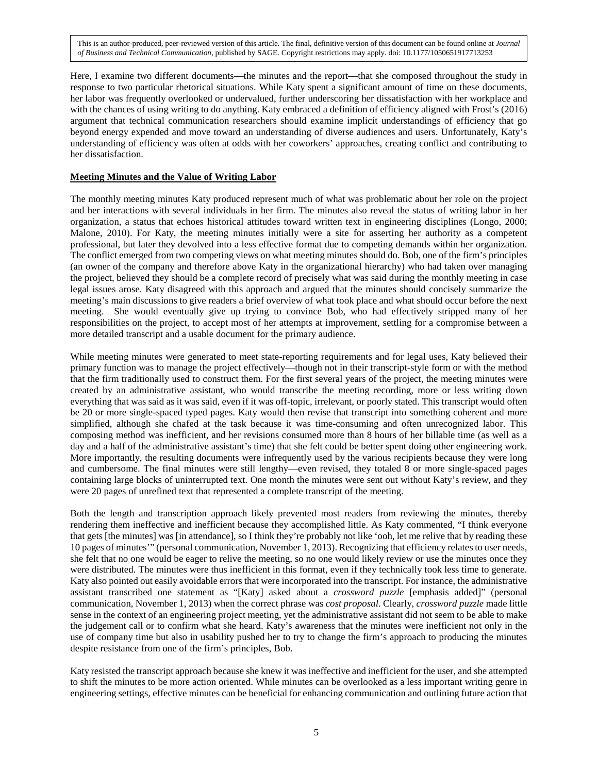Here, I examine two different documents—the minutes and the report—that she composed throughout the study in response to two particular rhetorical situations. While Katy spent a significant amount of time on these documents, her labor was frequently overlooked or undervalued, further underscoring her dissatisfaction with her workplace and with the chances of using writing to do anything. Katy embraced a definition of efficiency aligned with Frost's (2016) argument that technical communication researchers should examine implicit understandings of efficiency that go beyond energy expended and move toward an understanding of diverse audiences and users. Unfortunately, Katy's understanding of efficiency was often at odds with her coworkers' approaches, creating conflict and contributing to her dissatisfaction.

#### **Meeting Minutes and the Value of Writing Labor**

The monthly meeting minutes Katy produced represent much of what was problematic about her role on the project and her interactions with several individuals in her firm. The minutes also reveal the status of writing labor in her organization, a status that echoes historical attitudes toward written text in engineering disciplines (Longo, 2000; Malone, 2010). For Katy, the meeting minutes initially were a site for asserting her authority as a competent professional, but later they devolved into a less effective format due to competing demands within her organization. The conflict emerged from two competing views on what meeting minutes should do. Bob, one of the firm's principles (an owner of the company and therefore above Katy in the organizational hierarchy) who had taken over managing the project, believed they should be a complete record of precisely what was said during the monthly meeting in case legal issues arose. Katy disagreed with this approach and argued that the minutes should concisely summarize the meeting's main discussions to give readers a brief overview of what took place and what should occur before the next meeting. She would eventually give up trying to convince Bob, who had effectively stripped many of her responsibilities on the project, to accept most of her attempts at improvement, settling for a compromise between a more detailed transcript and a usable document for the primary audience.

While meeting minutes were generated to meet state-reporting requirements and for legal uses, Katy believed their primary function was to manage the project effectively—though not in their transcript-style form or with the method that the firm traditionally used to construct them. For the first several years of the project, the meeting minutes were created by an administrative assistant, who would transcribe the meeting recording, more or less writing down everything that was said as it was said, even if it was off-topic, irrelevant, or poorly stated. This transcript would often be 20 or more single-spaced typed pages. Katy would then revise that transcript into something coherent and more simplified, although she chafed at the task because it was time-consuming and often unrecognized labor. This composing method was inefficient, and her revisions consumed more than 8 hours of her billable time (as well as a day and a half of the administrative assistant's time) that she felt could be better spent doing other engineering work. More importantly, the resulting documents were infrequently used by the various recipients because they were long and cumbersome. The final minutes were still lengthy—even revised, they totaled 8 or more single-spaced pages containing large blocks of uninterrupted text. One month the minutes were sent out without Katy's review, and they were 20 pages of unrefined text that represented a complete transcript of the meeting.

Both the length and transcription approach likely prevented most readers from reviewing the minutes, thereby rendering them ineffective and inefficient because they accomplished little. As Katy commented, "I think everyone that gets [the minutes] was [in attendance], so I think they're probably not like 'ooh, let me relive that by reading these 10 pages of minutes'" (personal communication, November 1, 2013). Recognizing that efficiency relates to user needs, she felt that no one would be eager to relive the meeting, so no one would likely review or use the minutes once they were distributed. The minutes were thus inefficient in this format, even if they technically took less time to generate. Katy also pointed out easily avoidable errors that were incorporated into the transcript. For instance, the administrative assistant transcribed one statement as "[Katy] asked about a *crossword puzzle* [emphasis added]" (personal communication, November 1, 2013) when the correct phrase was *cost proposal*. Clearly, *crossword puzzle* made little sense in the context of an engineering project meeting, yet the administrative assistant did not seem to be able to make the judgement call or to confirm what she heard. Katy's awareness that the minutes were inefficient not only in the use of company time but also in usability pushed her to try to change the firm's approach to producing the minutes despite resistance from one of the firm's principles, Bob.

Katy resisted the transcript approach because she knew it was ineffective and inefficient for the user, and she attempted to shift the minutes to be more action oriented. While minutes can be overlooked as a less important writing genre in engineering settings, effective minutes can be beneficial for enhancing communication and outlining future action that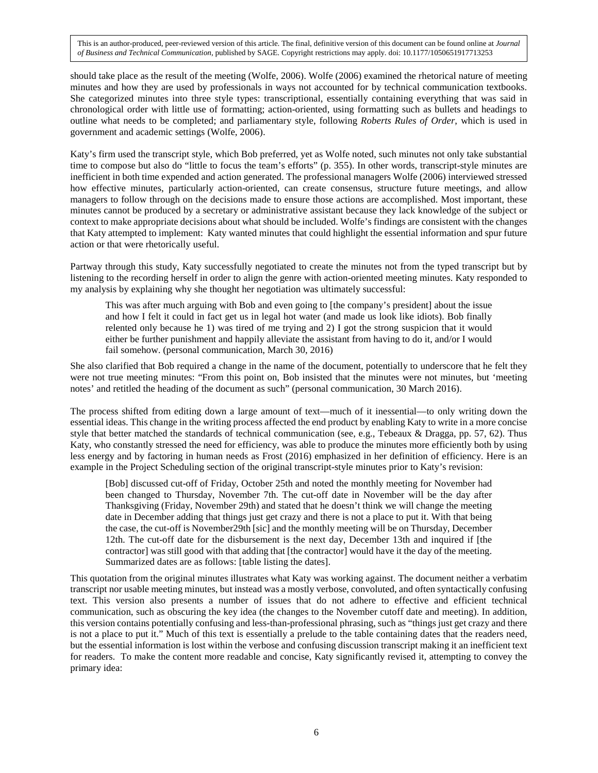should take place as the result of the meeting (Wolfe, 2006). Wolfe (2006) examined the rhetorical nature of meeting minutes and how they are used by professionals in ways not accounted for by technical communication textbooks. She categorized minutes into three style types: transcriptional, essentially containing everything that was said in chronological order with little use of formatting; action-oriented, using formatting such as bullets and headings to outline what needs to be completed; and parliamentary style, following *Roberts Rules of Order*, which is used in government and academic settings (Wolfe, 2006).

Katy's firm used the transcript style, which Bob preferred, yet as Wolfe noted, such minutes not only take substantial time to compose but also do "little to focus the team's efforts" (p. 355). In other words, transcript-style minutes are inefficient in both time expended and action generated. The professional managers Wolfe (2006) interviewed stressed how effective minutes, particularly action-oriented, can create consensus, structure future meetings, and allow managers to follow through on the decisions made to ensure those actions are accomplished. Most important, these minutes cannot be produced by a secretary or administrative assistant because they lack knowledge of the subject or context to make appropriate decisions about what should be included. Wolfe's findings are consistent with the changes that Katy attempted to implement: Katy wanted minutes that could highlight the essential information and spur future action or that were rhetorically useful.

Partway through this study, Katy successfully negotiated to create the minutes not from the typed transcript but by listening to the recording herself in order to align the genre with action-oriented meeting minutes. Katy responded to my analysis by explaining why she thought her negotiation was ultimately successful:

This was after much arguing with Bob and even going to [the company's president] about the issue and how I felt it could in fact get us in legal hot water (and made us look like idiots). Bob finally relented only because he 1) was tired of me trying and 2) I got the strong suspicion that it would either be further punishment and happily alleviate the assistant from having to do it, and/or I would fail somehow. (personal communication, March 30, 2016)

She also clarified that Bob required a change in the name of the document, potentially to underscore that he felt they were not true meeting minutes: "From this point on, Bob insisted that the minutes were not minutes, but 'meeting notes' and retitled the heading of the document as such" (personal communication, 30 March 2016).

The process shifted from editing down a large amount of text—much of it inessential—to only writing down the essential ideas. This change in the writing process affected the end product by enabling Katy to write in a more concise style that better matched the standards of technical communication (see, e.g., Tebeaux & Dragga, pp. 57, 62). Thus Katy, who constantly stressed the need for efficiency, was able to produce the minutes more efficiently both by using less energy and by factoring in human needs as Frost (2016) emphasized in her definition of efficiency. Here is an example in the Project Scheduling section of the original transcript-style minutes prior to Katy's revision:

[Bob] discussed cut-off of Friday, October 25th and noted the monthly meeting for November had been changed to Thursday, November 7th. The cut-off date in November will be the day after Thanksgiving (Friday, November 29th) and stated that he doesn't think we will change the meeting date in December adding that things just get crazy and there is not a place to put it. With that being the case, the cut-off is November29th [sic] and the monthly meeting will be on Thursday, December 12th. The cut-off date for the disbursement is the next day, December 13th and inquired if [the contractor] was still good with that adding that [the contractor] would have it the day of the meeting. Summarized dates are as follows: [table listing the dates].

This quotation from the original minutes illustrates what Katy was working against. The document neither a verbatim transcript nor usable meeting minutes, but instead was a mostly verbose, convoluted, and often syntactically confusing text. This version also presents a number of issues that do not adhere to effective and efficient technical communication, such as obscuring the key idea (the changes to the November cutoff date and meeting). In addition, this version contains potentially confusing and less-than-professional phrasing, such as "things just get crazy and there is not a place to put it." Much of this text is essentially a prelude to the table containing dates that the readers need, but the essential information is lost within the verbose and confusing discussion transcript making it an inefficient text for readers. To make the content more readable and concise, Katy significantly revised it, attempting to convey the primary idea: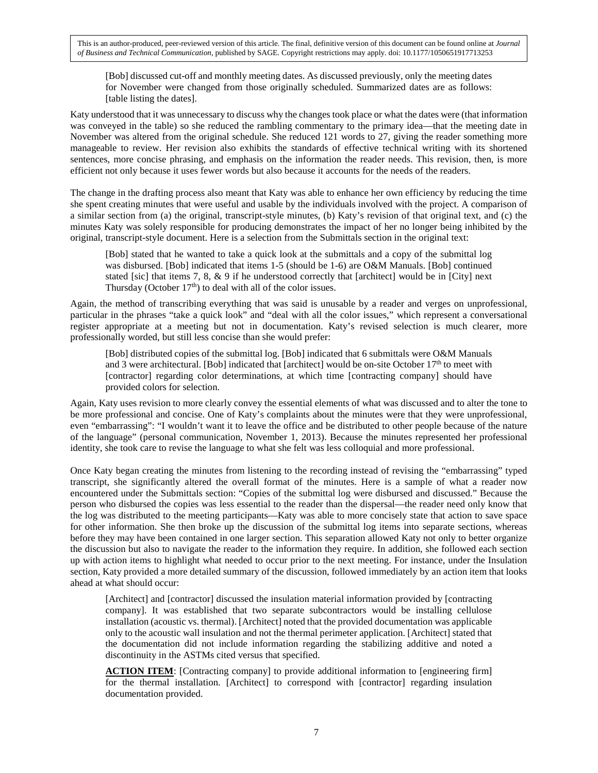[Bob] discussed cut-off and monthly meeting dates. As discussed previously, only the meeting dates for November were changed from those originally scheduled. Summarized dates are as follows: [table listing the dates].

Katy understood that it was unnecessary to discuss why the changes took place or what the dates were (that information was conveyed in the table) so she reduced the rambling commentary to the primary idea—that the meeting date in November was altered from the original schedule. She reduced 121 words to 27, giving the reader something more manageable to review. Her revision also exhibits the standards of effective technical writing with its shortened sentences, more concise phrasing, and emphasis on the information the reader needs. This revision, then, is more efficient not only because it uses fewer words but also because it accounts for the needs of the readers.

The change in the drafting process also meant that Katy was able to enhance her own efficiency by reducing the time she spent creating minutes that were useful and usable by the individuals involved with the project. A comparison of a similar section from (a) the original, transcript-style minutes, (b) Katy's revision of that original text, and (c) the minutes Katy was solely responsible for producing demonstrates the impact of her no longer being inhibited by the original, transcript-style document. Here is a selection from the Submittals section in the original text:

[Bob] stated that he wanted to take a quick look at the submittals and a copy of the submittal log was disbursed. [Bob] indicated that items 1-5 (should be 1-6) are O&M Manuals. [Bob] continued stated [sic] that items 7, 8,  $\&$  9 if he understood correctly that [architect] would be in [City] next Thursday (October  $17<sup>th</sup>$ ) to deal with all of the color issues.

Again, the method of transcribing everything that was said is unusable by a reader and verges on unprofessional, particular in the phrases "take a quick look" and "deal with all the color issues," which represent a conversational register appropriate at a meeting but not in documentation. Katy's revised selection is much clearer, more professionally worded, but still less concise than she would prefer:

[Bob] distributed copies of the submittal log. [Bob] indicated that 6 submittals were O&M Manuals and 3 were architectural. [Bob] indicated that [architect] would be on-site October  $17<sup>th</sup>$  to meet with [contractor] regarding color determinations, at which time [contracting company] should have provided colors for selection.

Again, Katy uses revision to more clearly convey the essential elements of what was discussed and to alter the tone to be more professional and concise. One of Katy's complaints about the minutes were that they were unprofessional, even "embarrassing": "I wouldn't want it to leave the office and be distributed to other people because of the nature of the language" (personal communication, November 1, 2013). Because the minutes represented her professional identity, she took care to revise the language to what she felt was less colloquial and more professional.

Once Katy began creating the minutes from listening to the recording instead of revising the "embarrassing" typed transcript, she significantly altered the overall format of the minutes. Here is a sample of what a reader now encountered under the Submittals section: "Copies of the submittal log were disbursed and discussed." Because the person who disbursed the copies was less essential to the reader than the dispersal—the reader need only know that the log was distributed to the meeting participants—Katy was able to more concisely state that action to save space for other information. She then broke up the discussion of the submittal log items into separate sections, whereas before they may have been contained in one larger section. This separation allowed Katy not only to better organize the discussion but also to navigate the reader to the information they require. In addition, she followed each section up with action items to highlight what needed to occur prior to the next meeting. For instance, under the Insulation section, Katy provided a more detailed summary of the discussion, followed immediately by an action item that looks ahead at what should occur:

[Architect] and [contractor] discussed the insulation material information provided by [contracting company]. It was established that two separate subcontractors would be installing cellulose installation (acoustic vs. thermal). [Architect] noted that the provided documentation was applicable only to the acoustic wall insulation and not the thermal perimeter application. [Architect] stated that the documentation did not include information regarding the stabilizing additive and noted a discontinuity in the ASTMs cited versus that specified.

**ACTION ITEM**: [Contracting company] to provide additional information to [engineering firm] for the thermal installation. [Architect] to correspond with [contractor] regarding insulation documentation provided.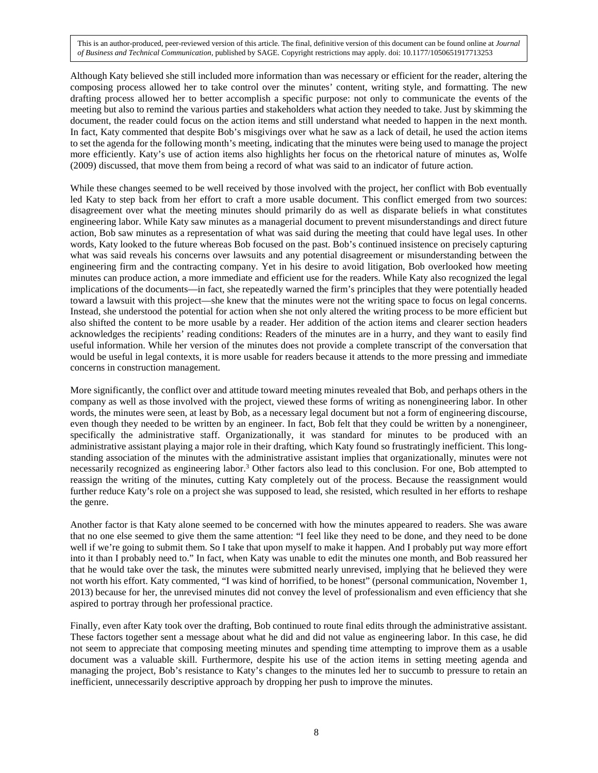Although Katy believed she still included more information than was necessary or efficient for the reader, altering the composing process allowed her to take control over the minutes' content, writing style, and formatting. The new drafting process allowed her to better accomplish a specific purpose: not only to communicate the events of the meeting but also to remind the various parties and stakeholders what action they needed to take. Just by skimming the document, the reader could focus on the action items and still understand what needed to happen in the next month. In fact, Katy commented that despite Bob's misgivings over what he saw as a lack of detail, he used the action items to set the agenda for the following month's meeting, indicating that the minutes were being used to manage the project more efficiently. Katy's use of action items also highlights her focus on the rhetorical nature of minutes as, Wolfe (2009) discussed, that move them from being a record of what was said to an indicator of future action.

While these changes seemed to be well received by those involved with the project, her conflict with Bob eventually led Katy to step back from her effort to craft a more usable document. This conflict emerged from two sources: disagreement over what the meeting minutes should primarily do as well as disparate beliefs in what constitutes engineering labor. While Katy saw minutes as a managerial document to prevent misunderstandings and direct future action, Bob saw minutes as a representation of what was said during the meeting that could have legal uses. In other words, Katy looked to the future whereas Bob focused on the past. Bob's continued insistence on precisely capturing what was said reveals his concerns over lawsuits and any potential disagreement or misunderstanding between the engineering firm and the contracting company. Yet in his desire to avoid litigation, Bob overlooked how meeting minutes can produce action, a more immediate and efficient use for the readers. While Katy also recognized the legal implications of the documents—in fact, she repeatedly warned the firm's principles that they were potentially headed toward a lawsuit with this project—she knew that the minutes were not the writing space to focus on legal concerns. Instead, she understood the potential for action when she not only altered the writing process to be more efficient but also shifted the content to be more usable by a reader. Her addition of the action items and clearer section headers acknowledges the recipients' reading conditions: Readers of the minutes are in a hurry, and they want to easily find useful information. While her version of the minutes does not provide a complete transcript of the conversation that would be useful in legal contexts, it is more usable for readers because it attends to the more pressing and immediate concerns in construction management.

More significantly, the conflict over and attitude toward meeting minutes revealed that Bob, and perhaps others in the company as well as those involved with the project, viewed these forms of writing as nonengineering labor. In other words, the minutes were seen, at least by Bob, as a necessary legal document but not a form of engineering discourse, even though they needed to be written by an engineer. In fact, Bob felt that they could be written by a nonengineer, specifically the administrative staff. Organizationally, it was standard for minutes to be produced with an administrative assistant playing a major role in their drafting, which Katy found so frustratingly inefficient. This longstanding association of the minutes with the administrative assistant implies that organizationally, minutes were not necessarily recognized as engineering labor.3 Other factors also lead to this conclusion. For one, Bob attempted to reassign the writing of the minutes, cutting Katy completely out of the process. Because the reassignment would further reduce Katy's role on a project she was supposed to lead, she resisted, which resulted in her efforts to reshape the genre.

Another factor is that Katy alone seemed to be concerned with how the minutes appeared to readers. She was aware that no one else seemed to give them the same attention: "I feel like they need to be done, and they need to be done well if we're going to submit them. So I take that upon myself to make it happen. And I probably put way more effort into it than I probably need to." In fact, when Katy was unable to edit the minutes one month, and Bob reassured her that he would take over the task, the minutes were submitted nearly unrevised, implying that he believed they were not worth his effort. Katy commented, "I was kind of horrified, to be honest" (personal communication, November 1, 2013) because for her, the unrevised minutes did not convey the level of professionalism and even efficiency that she aspired to portray through her professional practice.

Finally, even after Katy took over the drafting, Bob continued to route final edits through the administrative assistant. These factors together sent a message about what he did and did not value as engineering labor. In this case, he did not seem to appreciate that composing meeting minutes and spending time attempting to improve them as a usable document was a valuable skill. Furthermore, despite his use of the action items in setting meeting agenda and managing the project, Bob's resistance to Katy's changes to the minutes led her to succumb to pressure to retain an inefficient, unnecessarily descriptive approach by dropping her push to improve the minutes.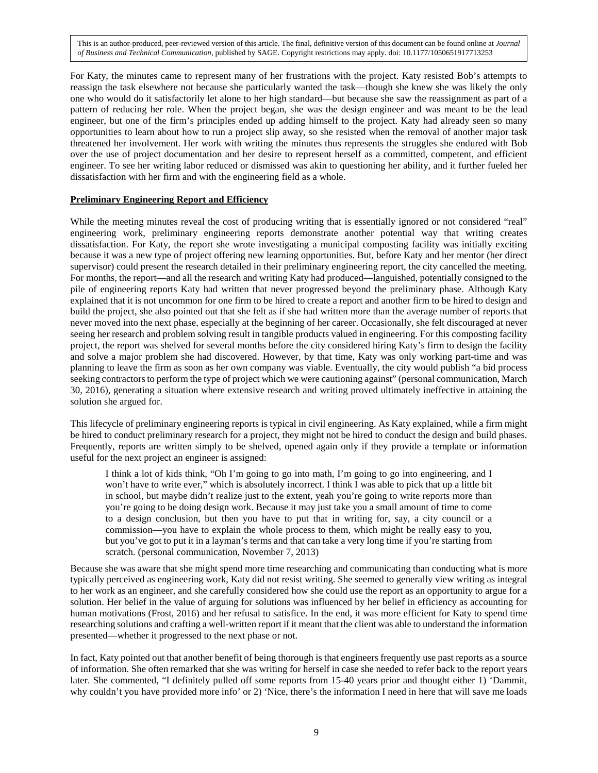For Katy, the minutes came to represent many of her frustrations with the project. Katy resisted Bob's attempts to reassign the task elsewhere not because she particularly wanted the task—though she knew she was likely the only one who would do it satisfactorily let alone to her high standard—but because she saw the reassignment as part of a pattern of reducing her role. When the project began, she was the design engineer and was meant to be the lead engineer, but one of the firm's principles ended up adding himself to the project. Katy had already seen so many opportunities to learn about how to run a project slip away, so she resisted when the removal of another major task threatened her involvement. Her work with writing the minutes thus represents the struggles she endured with Bob over the use of project documentation and her desire to represent herself as a committed, competent, and efficient engineer. To see her writing labor reduced or dismissed was akin to questioning her ability, and it further fueled her dissatisfaction with her firm and with the engineering field as a whole.

#### **Preliminary Engineering Report and Efficiency**

While the meeting minutes reveal the cost of producing writing that is essentially ignored or not considered "real" engineering work, preliminary engineering reports demonstrate another potential way that writing creates dissatisfaction. For Katy, the report she wrote investigating a municipal composting facility was initially exciting because it was a new type of project offering new learning opportunities. But, before Katy and her mentor (her direct supervisor) could present the research detailed in their preliminary engineering report, the city cancelled the meeting. For months, the report—and all the research and writing Katy had produced—languished, potentially consigned to the pile of engineering reports Katy had written that never progressed beyond the preliminary phase. Although Katy explained that it is not uncommon for one firm to be hired to create a report and another firm to be hired to design and build the project, she also pointed out that she felt as if she had written more than the average number of reports that never moved into the next phase, especially at the beginning of her career. Occasionally, she felt discouraged at never seeing her research and problem solving result in tangible products valued in engineering. For this composting facility project, the report was shelved for several months before the city considered hiring Katy's firm to design the facility and solve a major problem she had discovered. However, by that time, Katy was only working part-time and was planning to leave the firm as soon as her own company was viable. Eventually, the city would publish "a bid process seeking contractors to perform the type of project which we were cautioning against" (personal communication, March 30, 2016), generating a situation where extensive research and writing proved ultimately ineffective in attaining the solution she argued for.

This lifecycle of preliminary engineering reports is typical in civil engineering. As Katy explained, while a firm might be hired to conduct preliminary research for a project, they might not be hired to conduct the design and build phases. Frequently, reports are written simply to be shelved, opened again only if they provide a template or information useful for the next project an engineer is assigned:

I think a lot of kids think, "Oh I'm going to go into math, I'm going to go into engineering, and I won't have to write ever," which is absolutely incorrect. I think I was able to pick that up a little bit in school, but maybe didn't realize just to the extent, yeah you're going to write reports more than you're going to be doing design work. Because it may just take you a small amount of time to come to a design conclusion, but then you have to put that in writing for, say, a city council or a commission—you have to explain the whole process to them, which might be really easy to you, but you've got to put it in a layman's terms and that can take a very long time if you're starting from scratch. (personal communication, November 7, 2013)

Because she was aware that she might spend more time researching and communicating than conducting what is more typically perceived as engineering work, Katy did not resist writing. She seemed to generally view writing as integral to her work as an engineer, and she carefully considered how she could use the report as an opportunity to argue for a solution. Her belief in the value of arguing for solutions was influenced by her belief in efficiency as accounting for human motivations (Frost, 2016) and her refusal to satisfice. In the end, it was more efficient for Katy to spend time researching solutions and crafting a well-written report if it meant that the client was able to understand the information presented—whether it progressed to the next phase or not.

In fact, Katy pointed out that another benefit of being thorough is that engineers frequently use past reports as a source of information. She often remarked that she was writing for herself in case she needed to refer back to the report years later. She commented, "I definitely pulled off some reports from 15-40 years prior and thought either 1) 'Dammit, why couldn't you have provided more info' or 2) 'Nice, there's the information I need in here that will save me loads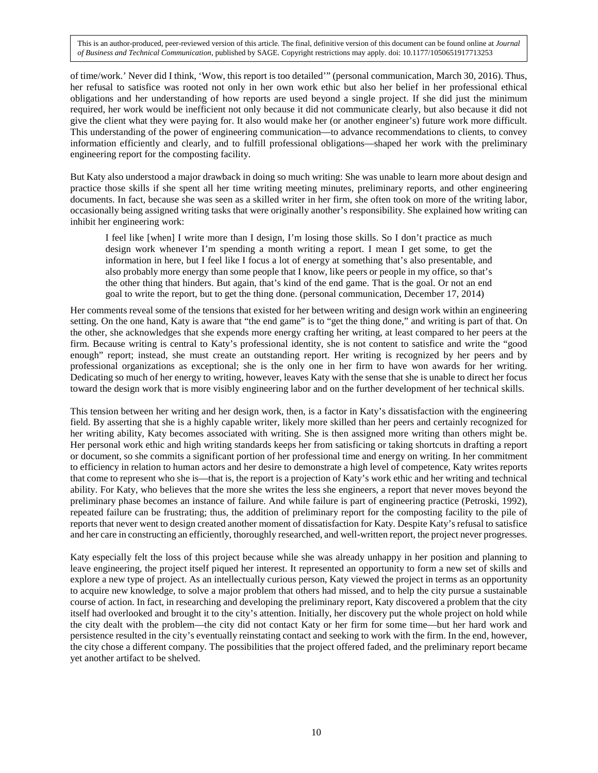of time/work.' Never did I think, 'Wow, this report is too detailed'" (personal communication, March 30, 2016). Thus, her refusal to satisfice was rooted not only in her own work ethic but also her belief in her professional ethical obligations and her understanding of how reports are used beyond a single project. If she did just the minimum required, her work would be inefficient not only because it did not communicate clearly, but also because it did not give the client what they were paying for. It also would make her (or another engineer's) future work more difficult. This understanding of the power of engineering communication—to advance recommendations to clients, to convey information efficiently and clearly, and to fulfill professional obligations—shaped her work with the preliminary engineering report for the composting facility.

But Katy also understood a major drawback in doing so much writing: She was unable to learn more about design and practice those skills if she spent all her time writing meeting minutes, preliminary reports, and other engineering documents. In fact, because she was seen as a skilled writer in her firm, she often took on more of the writing labor, occasionally being assigned writing tasks that were originally another's responsibility. She explained how writing can inhibit her engineering work:

I feel like [when] I write more than I design, I'm losing those skills. So I don't practice as much design work whenever I'm spending a month writing a report. I mean I get some, to get the information in here, but I feel like I focus a lot of energy at something that's also presentable, and also probably more energy than some people that I know, like peers or people in my office, so that's the other thing that hinders. But again, that's kind of the end game. That is the goal. Or not an end goal to write the report, but to get the thing done. (personal communication, December 17, 2014)

Her comments reveal some of the tensions that existed for her between writing and design work within an engineering setting. On the one hand, Katy is aware that "the end game" is to "get the thing done," and writing is part of that. On the other, she acknowledges that she expends more energy crafting her writing, at least compared to her peers at the firm. Because writing is central to Katy's professional identity, she is not content to satisfice and write the "good enough" report; instead, she must create an outstanding report. Her writing is recognized by her peers and by professional organizations as exceptional; she is the only one in her firm to have won awards for her writing. Dedicating so much of her energy to writing, however, leaves Katy with the sense that she is unable to direct her focus toward the design work that is more visibly engineering labor and on the further development of her technical skills.

This tension between her writing and her design work, then, is a factor in Katy's dissatisfaction with the engineering field. By asserting that she is a highly capable writer, likely more skilled than her peers and certainly recognized for her writing ability, Katy becomes associated with writing. She is then assigned more writing than others might be. Her personal work ethic and high writing standards keeps her from satisficing or taking shortcuts in drafting a report or document, so she commits a significant portion of her professional time and energy on writing. In her commitment to efficiency in relation to human actors and her desire to demonstrate a high level of competence, Katy writes reports that come to represent who she is—that is, the report is a projection of Katy's work ethic and her writing and technical ability. For Katy, who believes that the more she writes the less she engineers, a report that never moves beyond the preliminary phase becomes an instance of failure. And while failure is part of engineering practice (Petroski, 1992), repeated failure can be frustrating; thus, the addition of preliminary report for the composting facility to the pile of reports that never went to design created another moment of dissatisfaction for Katy. Despite Katy's refusal to satisfice and her care in constructing an efficiently, thoroughly researched, and well-written report, the project never progresses.

Katy especially felt the loss of this project because while she was already unhappy in her position and planning to leave engineering, the project itself piqued her interest. It represented an opportunity to form a new set of skills and explore a new type of project. As an intellectually curious person, Katy viewed the project in terms as an opportunity to acquire new knowledge, to solve a major problem that others had missed, and to help the city pursue a sustainable course of action. In fact, in researching and developing the preliminary report, Katy discovered a problem that the city itself had overlooked and brought it to the city's attention. Initially, her discovery put the whole project on hold while the city dealt with the problem—the city did not contact Katy or her firm for some time—but her hard work and persistence resulted in the city's eventually reinstating contact and seeking to work with the firm. In the end, however, the city chose a different company. The possibilities that the project offered faded, and the preliminary report became yet another artifact to be shelved.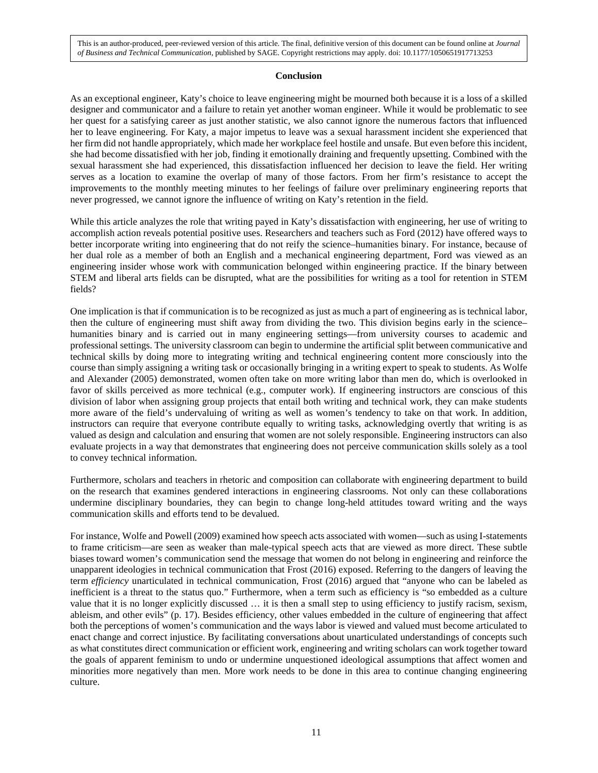#### **Conclusion**

As an exceptional engineer, Katy's choice to leave engineering might be mourned both because it is a loss of a skilled designer and communicator and a failure to retain yet another woman engineer. While it would be problematic to see her quest for a satisfying career as just another statistic, we also cannot ignore the numerous factors that influenced her to leave engineering. For Katy, a major impetus to leave was a sexual harassment incident she experienced that her firm did not handle appropriately, which made her workplace feel hostile and unsafe. But even before this incident, she had become dissatisfied with her job, finding it emotionally draining and frequently upsetting. Combined with the sexual harassment she had experienced, this dissatisfaction influenced her decision to leave the field. Her writing serves as a location to examine the overlap of many of those factors. From her firm's resistance to accept the improvements to the monthly meeting minutes to her feelings of failure over preliminary engineering reports that never progressed, we cannot ignore the influence of writing on Katy's retention in the field.

While this article analyzes the role that writing payed in Katy's dissatisfaction with engineering, her use of writing to accomplish action reveals potential positive uses. Researchers and teachers such as Ford (2012) have offered ways to better incorporate writing into engineering that do not reify the science–humanities binary. For instance, because of her dual role as a member of both an English and a mechanical engineering department, Ford was viewed as an engineering insider whose work with communication belonged within engineering practice. If the binary between STEM and liberal arts fields can be disrupted, what are the possibilities for writing as a tool for retention in STEM fields?

One implication is that if communication is to be recognized as just as much a part of engineering as is technical labor, then the culture of engineering must shift away from dividing the two. This division begins early in the science– humanities binary and is carried out in many engineering settings—from university courses to academic and professional settings. The university classroom can begin to undermine the artificial split between communicative and technical skills by doing more to integrating writing and technical engineering content more consciously into the course than simply assigning a writing task or occasionally bringing in a writing expert to speak to students. As Wolfe and Alexander (2005) demonstrated, women often take on more writing labor than men do, which is overlooked in favor of skills perceived as more technical (e.g., computer work). If engineering instructors are conscious of this division of labor when assigning group projects that entail both writing and technical work, they can make students more aware of the field's undervaluing of writing as well as women's tendency to take on that work. In addition, instructors can require that everyone contribute equally to writing tasks, acknowledging overtly that writing is as valued as design and calculation and ensuring that women are not solely responsible. Engineering instructors can also evaluate projects in a way that demonstrates that engineering does not perceive communication skills solely as a tool to convey technical information.

Furthermore, scholars and teachers in rhetoric and composition can collaborate with engineering department to build on the research that examines gendered interactions in engineering classrooms. Not only can these collaborations undermine disciplinary boundaries, they can begin to change long-held attitudes toward writing and the ways communication skills and efforts tend to be devalued.

For instance, Wolfe and Powell (2009) examined how speech acts associated with women—such as using I-statements to frame criticism—are seen as weaker than male-typical speech acts that are viewed as more direct. These subtle biases toward women's communication send the message that women do not belong in engineering and reinforce the unapparent ideologies in technical communication that Frost (2016) exposed. Referring to the dangers of leaving the term *efficiency* unarticulated in technical communication, Frost (2016) argued that "anyone who can be labeled as inefficient is a threat to the status quo." Furthermore, when a term such as efficiency is "so embedded as a culture value that it is no longer explicitly discussed … it is then a small step to using efficiency to justify racism, sexism, ableism, and other evils" (p. 17). Besides efficiency, other values embedded in the culture of engineering that affect both the perceptions of women's communication and the ways labor is viewed and valued must become articulated to enact change and correct injustice. By facilitating conversations about unarticulated understandings of concepts such as what constitutes direct communication or efficient work, engineering and writing scholars can work together toward the goals of apparent feminism to undo or undermine unquestioned ideological assumptions that affect women and minorities more negatively than men. More work needs to be done in this area to continue changing engineering culture.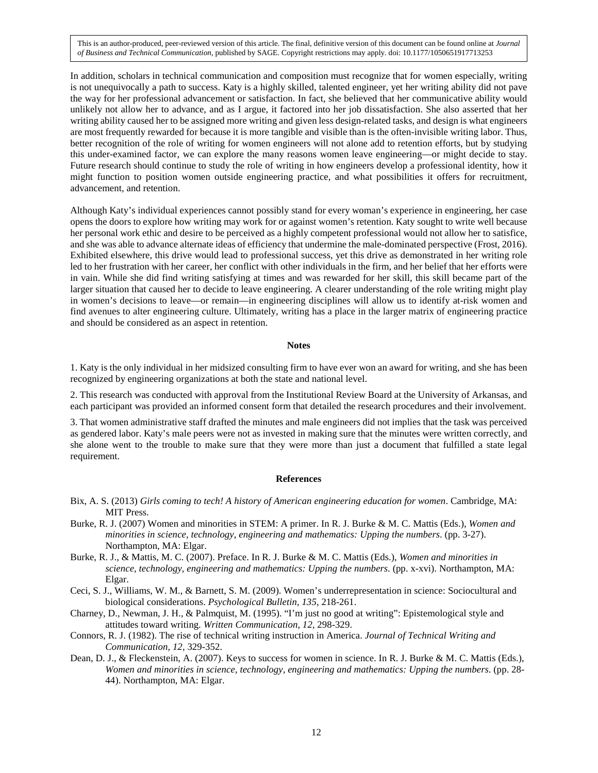In addition, scholars in technical communication and composition must recognize that for women especially, writing is not unequivocally a path to success. Katy is a highly skilled, talented engineer, yet her writing ability did not pave the way for her professional advancement or satisfaction. In fact, she believed that her communicative ability would unlikely not allow her to advance, and as I argue, it factored into her job dissatisfaction. She also asserted that her writing ability caused her to be assigned more writing and given less design-related tasks, and design is what engineers are most frequently rewarded for because it is more tangible and visible than is the often-invisible writing labor. Thus, better recognition of the role of writing for women engineers will not alone add to retention efforts, but by studying this under-examined factor, we can explore the many reasons women leave engineering—or might decide to stay. Future research should continue to study the role of writing in how engineers develop a professional identity, how it might function to position women outside engineering practice, and what possibilities it offers for recruitment, advancement, and retention.

Although Katy's individual experiences cannot possibly stand for every woman's experience in engineering, her case opens the doors to explore how writing may work for or against women's retention. Katy sought to write well because her personal work ethic and desire to be perceived as a highly competent professional would not allow her to satisfice, and she was able to advance alternate ideas of efficiency that undermine the male-dominated perspective (Frost, 2016). Exhibited elsewhere, this drive would lead to professional success, yet this drive as demonstrated in her writing role led to her frustration with her career, her conflict with other individuals in the firm, and her belief that her efforts were in vain. While she did find writing satisfying at times and was rewarded for her skill, this skill became part of the larger situation that caused her to decide to leave engineering. A clearer understanding of the role writing might play in women's decisions to leave—or remain—in engineering disciplines will allow us to identify at-risk women and find avenues to alter engineering culture. Ultimately, writing has a place in the larger matrix of engineering practice and should be considered as an aspect in retention.

#### **Notes**

1. Katy is the only individual in her midsized consulting firm to have ever won an award for writing, and she has been recognized by engineering organizations at both the state and national level.

2. This research was conducted with approval from the Institutional Review Board at the University of Arkansas, and each participant was provided an informed consent form that detailed the research procedures and their involvement.

3. That women administrative staff drafted the minutes and male engineers did not implies that the task was perceived as gendered labor. Katy's male peers were not as invested in making sure that the minutes were written correctly, and she alone went to the trouble to make sure that they were more than just a document that fulfilled a state legal requirement.

#### **References**

- Bix, A. S. (2013) *Girls coming to tech! A history of American engineering education for women*. Cambridge, MA: MIT Press.
- Burke, R. J. (2007) Women and minorities in STEM: A primer. In R. J. Burke & M. C. Mattis (Eds.), *Women and minorities in science, technology, engineering and mathematics: Upping the numbers*. (pp. 3-27). Northampton, MA: Elgar.
- Burke, R. J., & Mattis, M. C. (2007). Preface. In R. J. Burke & M. C. Mattis (Eds.), *Women and minorities in science, technology, engineering and mathematics: Upping the numbers*. (pp. x-xvi). Northampton, MA: Elgar.
- Ceci, S. J., Williams, W. M., & Barnett, S. M. (2009). Women's underrepresentation in science: Sociocultural and biological considerations. *Psychological Bulletin*, *135*, 218-261.
- Charney, D., Newman, J. H., & Palmquist, M. (1995). "I'm just no good at writing": Epistemological style and attitudes toward writing. *Written Communication*, *12*, 298-329.
- Connors, R. J. (1982). The rise of technical writing instruction in America. *Journal of Technical Writing and Communication, 12*, 329-352.
- Dean, D. J., & Fleckenstein, A. (2007). Keys to success for women in science. In R. J. Burke & M. C. Mattis (Eds.), *Women and minorities in science, technology, engineering and mathematics: Upping the numbers*. (pp. 28- 44). Northampton, MA: Elgar.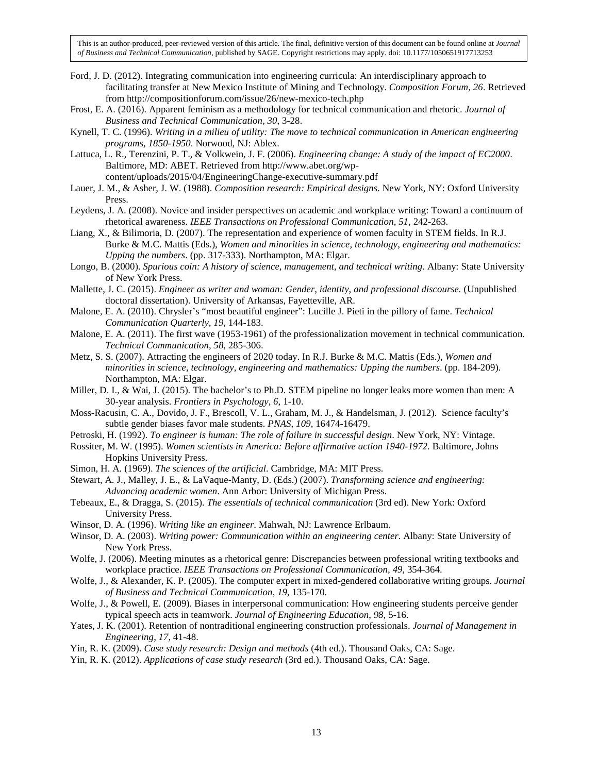- Ford, J. D. (2012). Integrating communication into engineering curricula: An interdisciplinary approach to facilitating transfer at New Mexico Institute of Mining and Technology. *Composition Forum*, *26*. Retrieved from http://compositionforum.com/issue/26/new-mexico-tech.php
- Frost, E. A. (2016). Apparent feminism as a methodology for technical communication and rhetoric. *Journal of Business and Technical Communication, 30*, 3-28.
- Kynell, T. C. (1996). *Writing in a milieu of utility: The move to technical communication in American engineering programs, 1850-1950*. Norwood, NJ: Ablex.
- Lattuca, L. R., Terenzini, P. T., & Volkwein, J. F. (2006). *Engineering change: A study of the impact of EC2000*. Baltimore, MD: ABET. Retrieved from http://www.abet.org/wpcontent/uploads/2015/04/EngineeringChange-executive-summary.pdf
- Lauer, J. M., & Asher, J. W. (1988). *Composition research: Empirical designs*. New York, NY: Oxford University Press.
- Leydens, J. A. (2008). Novice and insider perspectives on academic and workplace writing: Toward a continuum of rhetorical awareness. *IEEE Transactions on Professional Communication*, *51*, 242-263.
- Liang, X., & Bilimoria, D. (2007). The representation and experience of women faculty in STEM fields. In R.J. Burke & M.C. Mattis (Eds.), *Women and minorities in science, technology, engineering and mathematics: Upping the numbers*. (pp. 317-333). Northampton, MA: Elgar.
- Longo, B. (2000). *Spurious coin: A history of science, management, and technical writing*. Albany: State University of New York Press.
- Mallette, J. C. (2015). *Engineer as writer and woman: Gender, identity, and professional discourse.* (Unpublished doctoral dissertation). University of Arkansas, Fayetteville, AR.
- Malone, E. A. (2010). Chrysler's "most beautiful engineer": Lucille J. Pieti in the pillory of fame. *Technical Communication Quarterly, 19*, 144-183.
- Malone, E. A. (2011). The first wave (1953-1961) of the professionalization movement in technical communication. *Technical Communication, 58*, 285-306.
- Metz, S. S. (2007). Attracting the engineers of 2020 today. In R.J. Burke & M.C. Mattis (Eds.), *Women and minorities in science, technology, engineering and mathematics: Upping the numbers*. (pp. 184-209). Northampton, MA: Elgar.
- Miller, D. I., & Wai, J. (2015). The bachelor's to Ph.D. STEM pipeline no longer leaks more women than men: A 30-year analysis. *Frontiers in Psychology*, *6*, 1-10.
- Moss-Racusin, C. A., Dovido, J. F., Brescoll, V. L., Graham, M. J., & Handelsman, J. (2012). Science faculty's subtle gender biases favor male students. *PNAS, 109*, 16474-16479.
- Petroski, H. (1992). *To engineer is human: The role of failure in successful design*. New York, NY: Vintage.
- Rossiter, M. W. (1995). *Women scientists in America: Before affirmative action 1940-1972*. Baltimore, Johns Hopkins University Press.
- Simon, H. A. (1969). *The sciences of the artificial*. Cambridge, MA: MIT Press.
- Stewart, A. J., Malley, J. E., & LaVaque-Manty, D. (Eds.) (2007). *Transforming science and engineering: Advancing academic women*. Ann Arbor: University of Michigan Press.
- Tebeaux, E., & Dragga, S. (2015). *The essentials of technical communication* (3rd ed). New York: Oxford University Press.
- Winsor, D. A. (1996). *Writing like an engineer*. Mahwah, NJ: Lawrence Erlbaum.
- Winsor, D. A. (2003). *Writing power: Communication within an engineering center*. Albany: State University of New York Press.
- Wolfe, J. (2006). Meeting minutes as a rhetorical genre: Discrepancies between professional writing textbooks and workplace practice. *IEEE Transactions on Professional Communication, 49*, 354-364.
- Wolfe, J., & Alexander, K. P. (2005). The computer expert in mixed-gendered collaborative writing groups. *Journal of Business and Technical Communication*, *19*, 135-170.
- Wolfe, J., & Powell, E. (2009). Biases in interpersonal communication: How engineering students perceive gender typical speech acts in teamwork. *Journal of Engineering Education*, *98*, 5-16.
- Yates, J. K. (2001). Retention of nontraditional engineering construction professionals. *Journal of Management in Engineering*, *17*, 41-48.
- Yin, R. K. (2009). *Case study research: Design and methods* (4th ed.). Thousand Oaks, CA: Sage.
- Yin, R. K. (2012). *Applications of case study research* (3rd ed.). Thousand Oaks, CA: Sage.